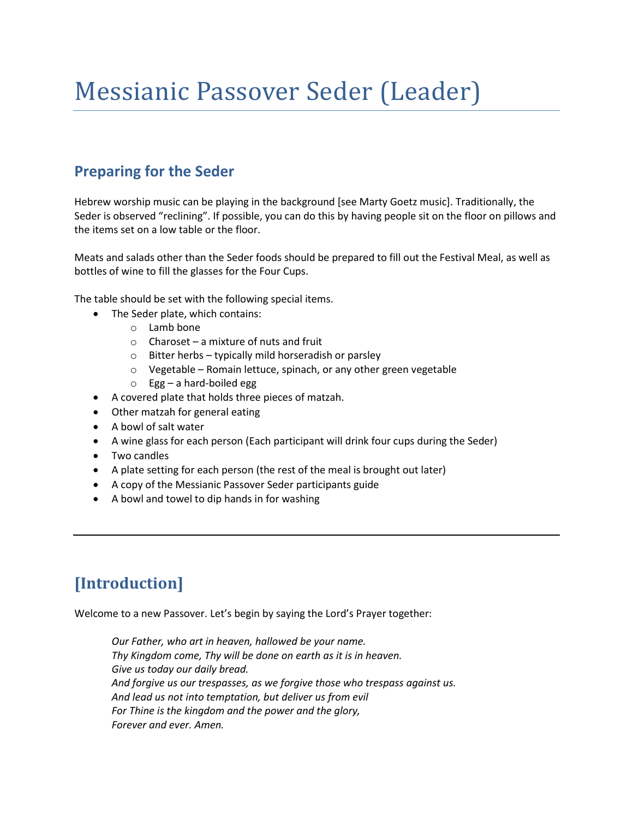# Messianic Passover Seder (Leader)

### **Preparing for the Seder**

Hebrew worship music can be playing in the background [see Marty Goetz music]. Traditionally, the Seder is observed "reclining". If possible, you can do this by having people sit on the floor on pillows and the items set on a low table or the floor.

Meats and salads other than the Seder foods should be prepared to fill out the Festival Meal, as well as bottles of wine to fill the glasses for the Four Cups.

The table should be set with the following special items.

- The Seder plate, which contains:
	- o Lamb bone
	- $\circ$  Charoset a mixture of nuts and fruit
	- o Bitter herbs typically mild horseradish or parsley
	- o Vegetable Romain lettuce, spinach, or any other green vegetable
	- o Egg a hard-boiled egg
- A covered plate that holds three pieces of matzah.
- Other matzah for general eating
- A bowl of salt water
- A wine glass for each person (Each participant will drink four cups during the Seder)
- Two candles
- A plate setting for each person (the rest of the meal is brought out later)
- A copy of the Messianic Passover Seder participants guide
- A bowl and towel to dip hands in for washing

# **[Introduction]**

Welcome to a new Passover. Let's begin by saying the Lord's Prayer together:

*Our Father, who art in heaven, hallowed be your name. Thy Kingdom come, Thy will be done on earth as it is in heaven. Give us today our daily bread. And forgive us our trespasses, as we forgive those who trespass against us. And lead us not into temptation, but deliver us from evil For Thine is the kingdom and the power and the glory, Forever and ever. Amen.*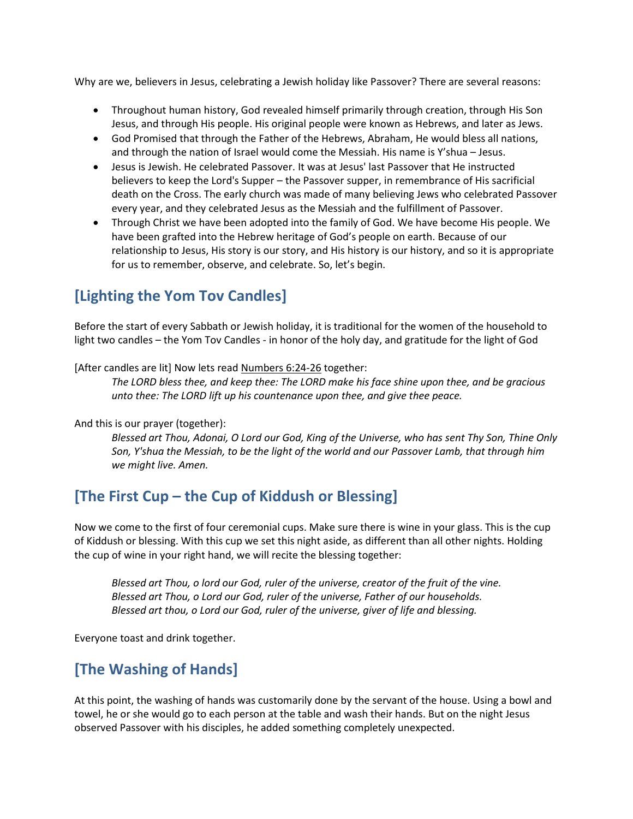Why are we, believers in Jesus, celebrating a Jewish holiday like Passover? There are several reasons:

- Throughout human history, God revealed himself primarily through creation, through His Son Jesus, and through His people. His original people were known as Hebrews, and later as Jews.
- God Promised that through the Father of the Hebrews, Abraham, He would bless all nations, and through the nation of Israel would come the Messiah. His name is Y'shua – Jesus.
- Jesus is Jewish. He celebrated Passover. It was at Jesus' last Passover that He instructed believers to keep the Lord's Supper – the Passover supper, in remembrance of His sacrificial death on the Cross. The early church was made of many believing Jews who celebrated Passover every year, and they celebrated Jesus as the Messiah and the fulfillment of Passover.
- Through Christ we have been adopted into the family of God. We have become His people. We have been grafted into the Hebrew heritage of God's people on earth. Because of our relationship to Jesus, His story is our story, and His history is our history, and so it is appropriate for us to remember, observe, and celebrate. So, let's begin.

## **[Lighting the Yom Tov Candles]**

Before the start of every Sabbath or Jewish holiday, it is traditional for the women of the household to light two candles – the Yom Tov Candles - in honor of the holy day, and gratitude for the light of God

[After candles are lit] Now lets read [Numbers 6:24-26](http://biblia.com/bible/nasb95/Numbers%206.24-26) together:

*The LORD bless thee, and keep thee: The LORD make his face shine upon thee, and be gracious unto thee: The LORD lift up his countenance upon thee, and give thee peace.* 

And this is our prayer (together):

*Blessed art Thou, Adonai, O Lord our God, King of the Universe, who has sent Thy Son, Thine Only Son, Y'shua the Messiah, to be the light of the world and our Passover Lamb, that through him we might live. Amen.*

### **[The First Cup – the Cup of Kiddush or Blessing]**

Now we come to the first of four ceremonial cups. Make sure there is wine in your glass. This is the cup of Kiddush or blessing. With this cup we set this night aside, as different than all other nights. Holding the cup of wine in your right hand, we will recite the blessing together:

*Blessed art Thou, o lord our God, ruler of the universe, creator of the fruit of the vine. Blessed art Thou, o Lord our God, ruler of the universe, Father of our households. Blessed art thou, o Lord our God, ruler of the universe, giver of life and blessing.*

Everyone toast and drink together.

### **[The Washing of Hands]**

At this point, the washing of hands was customarily done by the servant of the house. Using a bowl and towel, he or she would go to each person at the table and wash their hands. But on the night Jesus observed Passover with his disciples, he added something completely unexpected.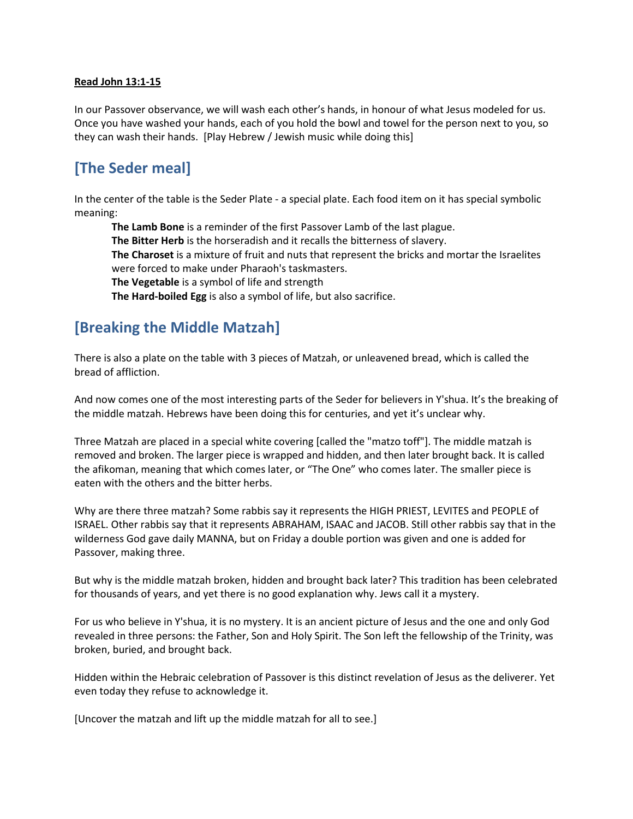#### **Read John 13:1-15**

In our Passover observance, we will wash each other's hands, in honour of what Jesus modeled for us. Once you have washed your hands, each of you hold the bowl and towel for the person next to you, so they can wash their hands. [Play Hebrew / Jewish music while doing this]

### **[The Seder meal]**

In the center of the table is the Seder Plate - a special plate. Each food item on it has special symbolic meaning:

**The Lamb Bone** is a reminder of the first Passover Lamb of the last plague.

**The Bitter Herb** is the horseradish and it recalls the bitterness of slavery.

**The Charoset** is a mixture of fruit and nuts that represent the bricks and mortar the Israelites were forced to make under Pharaoh's taskmasters.

**The Vegetable** is a symbol of life and strength

**The Hard-boiled Egg** is also a symbol of life, but also sacrifice.

### **[Breaking the Middle Matzah]**

There is also a plate on the table with 3 pieces of Matzah, or unleavened bread, which is called the bread of affliction.

And now comes one of the most interesting parts of the Seder for believers in Y'shua. It's the breaking of the middle matzah. Hebrews have been doing this for centuries, and yet it's unclear why.

Three Matzah are placed in a special white covering [called the "matzo toff"]. The middle matzah is removed and broken. The larger piece is wrapped and hidden, and then later brought back. It is called the afikoman, meaning that which comes later, or "The One" who comes later. The smaller piece is eaten with the others and the bitter herbs.

Why are there three matzah? Some rabbis say it represents the HIGH PRIEST, LEVITES and PEOPLE of ISRAEL. Other rabbis say that it represents ABRAHAM, ISAAC and JACOB. Still other rabbis say that in the wilderness God gave daily MANNA, but on Friday a double portion was given and one is added for Passover, making three.

But why is the middle matzah broken, hidden and brought back later? This tradition has been celebrated for thousands of years, and yet there is no good explanation why. Jews call it a mystery.

For us who believe in Y'shua, it is no mystery. It is an ancient picture of Jesus and the one and only God revealed in three persons: the Father, Son and Holy Spirit. The Son left the fellowship of the Trinity, was broken, buried, and brought back.

Hidden within the Hebraic celebration of Passover is this distinct revelation of Jesus as the deliverer. Yet even today they refuse to acknowledge it.

[Uncover the matzah and lift up the middle matzah for all to see.]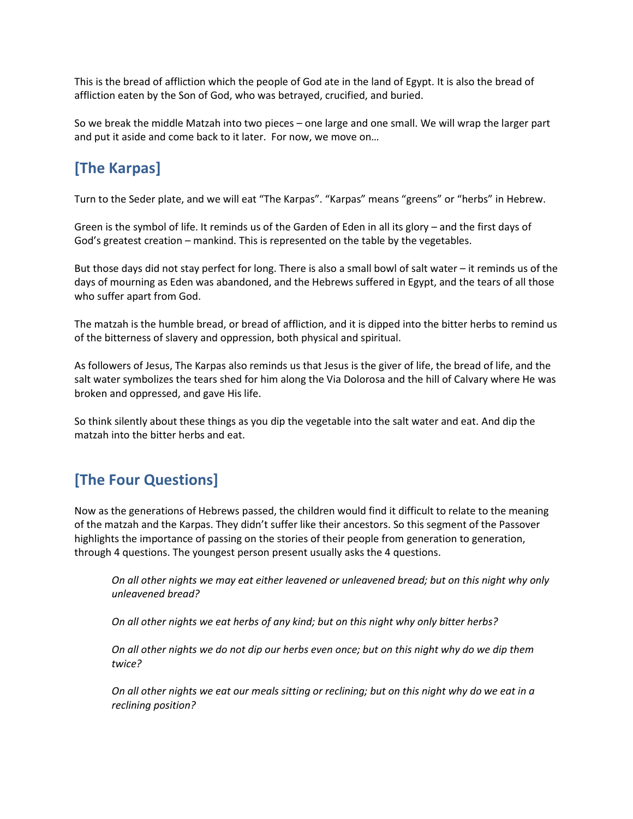This is the bread of affliction which the people of God ate in the land of Egypt. It is also the bread of affliction eaten by the Son of God, who was betrayed, crucified, and buried.

So we break the middle Matzah into two pieces – one large and one small. We will wrap the larger part and put it aside and come back to it later. For now, we move on…

## **[The Karpas]**

Turn to the Seder plate, and we will eat "The Karpas". "Karpas" means "greens" or "herbs" in Hebrew.

Green is the symbol of life. It reminds us of the Garden of Eden in all its glory – and the first days of God's greatest creation – mankind. This is represented on the table by the vegetables.

But those days did not stay perfect for long. There is also a small bowl of salt water – it reminds us of the days of mourning as Eden was abandoned, and the Hebrews suffered in Egypt, and the tears of all those who suffer apart from God.

The matzah is the humble bread, or bread of affliction, and it is dipped into the bitter herbs to remind us of the bitterness of slavery and oppression, both physical and spiritual.

As followers of Jesus, The Karpas also reminds us that Jesus is the giver of life, the bread of life, and the salt water symbolizes the tears shed for him along the Via Dolorosa and the hill of Calvary where He was broken and oppressed, and gave His life.

So think silently about these things as you dip the vegetable into the salt water and eat. And dip the matzah into the bitter herbs and eat.

### **[The Four Questions]**

Now as the generations of Hebrews passed, the children would find it difficult to relate to the meaning of the matzah and the Karpas. They didn't suffer like their ancestors. So this segment of the Passover highlights the importance of passing on the stories of their people from generation to generation, through 4 questions. The youngest person present usually asks the 4 questions.

*On all other nights we may eat either leavened or unleavened bread; but on this night why only unleavened bread?*

*On all other nights we eat herbs of any kind; but on this night why only bitter herbs?*

*On all other nights we do not dip our herbs even once; but on this night why do we dip them twice?*

*On all other nights we eat our meals sitting or reclining; but on this night why do we eat in a reclining position?*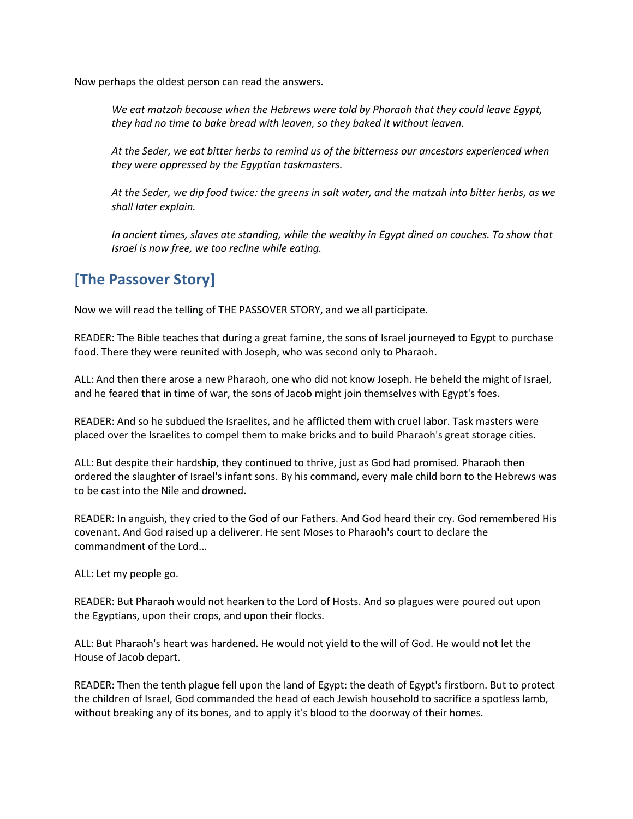Now perhaps the oldest person can read the answers.

*We eat matzah because when the Hebrews were told by Pharaoh that they could leave Egypt, they had no time to bake bread with leaven, so they baked it without leaven.*

*At the Seder, we eat bitter herbs to remind us of the bitterness our ancestors experienced when they were oppressed by the Egyptian taskmasters.*

*At the Seder, we dip food twice: the greens in salt water, and the matzah into bitter herbs, as we shall later explain.*

*In ancient times, slaves ate standing, while the wealthy in Egypt dined on couches. To show that Israel is now free, we too recline while eating.* 

### **[The Passover Story]**

Now we will read the telling of THE PASSOVER STORY, and we all participate.

READER: The Bible teaches that during a great famine, the sons of Israel journeyed to Egypt to purchase food. There they were reunited with Joseph, who was second only to Pharaoh.

ALL: And then there arose a new Pharaoh, one who did not know Joseph. He beheld the might of Israel, and he feared that in time of war, the sons of Jacob might join themselves with Egypt's foes.

READER: And so he subdued the Israelites, and he afflicted them with cruel labor. Task masters were placed over the Israelites to compel them to make bricks and to build Pharaoh's great storage cities.

ALL: But despite their hardship, they continued to thrive, just as God had promised. Pharaoh then ordered the slaughter of Israel's infant sons. By his command, every male child born to the Hebrews was to be cast into the Nile and drowned.

READER: In anguish, they cried to the God of our Fathers. And God heard their cry. God remembered His covenant. And God raised up a deliverer. He sent Moses to Pharaoh's court to declare the commandment of the Lord...

ALL: Let my people go.

READER: But Pharaoh would not hearken to the Lord of Hosts. And so plagues were poured out upon the Egyptians, upon their crops, and upon their flocks.

ALL: But Pharaoh's heart was hardened. He would not yield to the will of God. He would not let the House of Jacob depart.

READER: Then the tenth plague fell upon the land of Egypt: the death of Egypt's firstborn. But to protect the children of Israel, God commanded the head of each Jewish household to sacrifice a spotless lamb, without breaking any of its bones, and to apply it's blood to the doorway of their homes.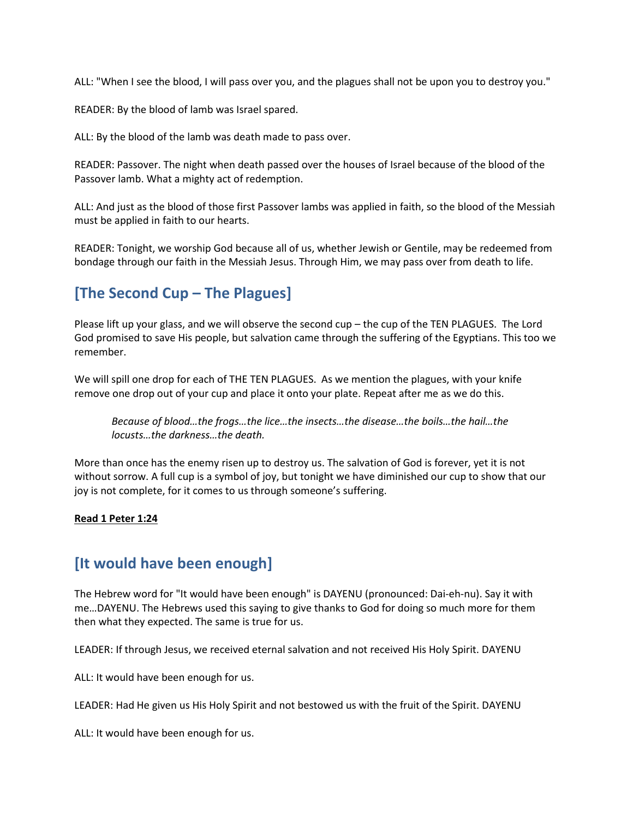ALL: "When I see the blood, I will pass over you, and the plagues shall not be upon you to destroy you."

READER: By the blood of lamb was Israel spared.

ALL: By the blood of the lamb was death made to pass over.

READER: Passover. The night when death passed over the houses of Israel because of the blood of the Passover lamb. What a mighty act of redemption.

ALL: And just as the blood of those first Passover lambs was applied in faith, so the blood of the Messiah must be applied in faith to our hearts.

READER: Tonight, we worship God because all of us, whether Jewish or Gentile, may be redeemed from bondage through our faith in the Messiah Jesus. Through Him, we may pass over from death to life.

### **[The Second Cup – The Plagues]**

Please lift up your glass, and we will observe the second cup – the cup of the TEN PLAGUES. The Lord God promised to save His people, but salvation came through the suffering of the Egyptians. This too we remember.

We will spill one drop for each of THE TEN PLAGUES. As we mention the plagues, with your knife remove one drop out of your cup and place it onto your plate. Repeat after me as we do this.

*Because of blood…the frogs…the lice…the insects…the disease…the boils…the hail…the locusts…the darkness…the death.*

More than once has the enemy risen up to destroy us. The salvation of God is forever, yet it is not without sorrow. A full cup is a symbol of joy, but tonight we have diminished our cup to show that our joy is not complete, for it comes to us through someone's suffering.

#### **Read 1 Peter 1:24**

### **[It would have been enough]**

The Hebrew word for "It would have been enough" is DAYENU (pronounced: Dai-eh-nu). Say it with me…DAYENU. The Hebrews used this saying to give thanks to God for doing so much more for them then what they expected. The same is true for us.

LEADER: If through Jesus, we received eternal salvation and not received His Holy Spirit. DAYENU

ALL: It would have been enough for us.

LEADER: Had He given us His Holy Spirit and not bestowed us with the fruit of the Spirit. DAYENU

ALL: It would have been enough for us.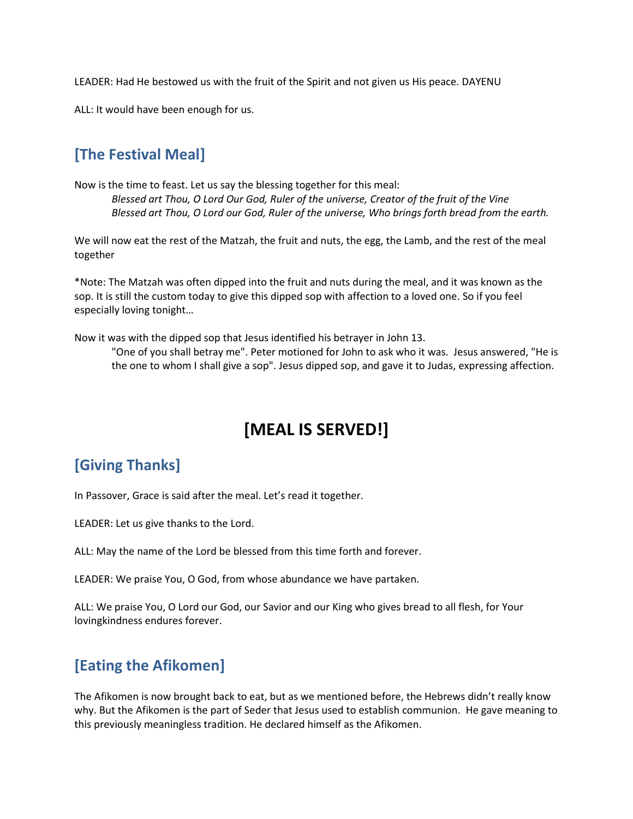LEADER: Had He bestowed us with the fruit of the Spirit and not given us His peace. DAYENU

ALL: It would have been enough for us.

### **[The Festival Meal]**

Now is the time to feast. Let us say the blessing together for this meal: *Blessed art Thou, O Lord Our God, Ruler of the universe, Creator of the fruit of the Vine Blessed art Thou, O Lord our God, Ruler of the universe, Who brings forth bread from the earth.*

We will now eat the rest of the Matzah, the fruit and nuts, the egg, the Lamb, and the rest of the meal together

\*Note: The Matzah was often dipped into the fruit and nuts during the meal, and it was known as the sop. It is still the custom today to give this dipped sop with affection to a loved one. So if you feel especially loving tonight…

Now it was with the dipped sop that Jesus identified his betrayer in John 13.

"One of you shall betray me". Peter motioned for John to ask who it was. Jesus answered, "He is the one to whom I shall give a sop". Jesus dipped sop, and gave it to Judas, expressing affection.

# **[MEAL IS SERVED!]**

# **[Giving Thanks]**

In Passover, Grace is said after the meal. Let's read it together.

LEADER: Let us give thanks to the Lord.

ALL: May the name of the Lord be blessed from this time forth and forever.

LEADER: We praise You, O God, from whose abundance we have partaken.

ALL: We praise You, O Lord our God, our Savior and our King who gives bread to all flesh, for Your lovingkindness endures forever.

### **[Eating the Afikomen]**

The Afikomen is now brought back to eat, but as we mentioned before, the Hebrews didn't really know why. But the Afikomen is the part of Seder that Jesus used to establish communion. He gave meaning to this previously meaningless tradition. He declared himself as the Afikomen.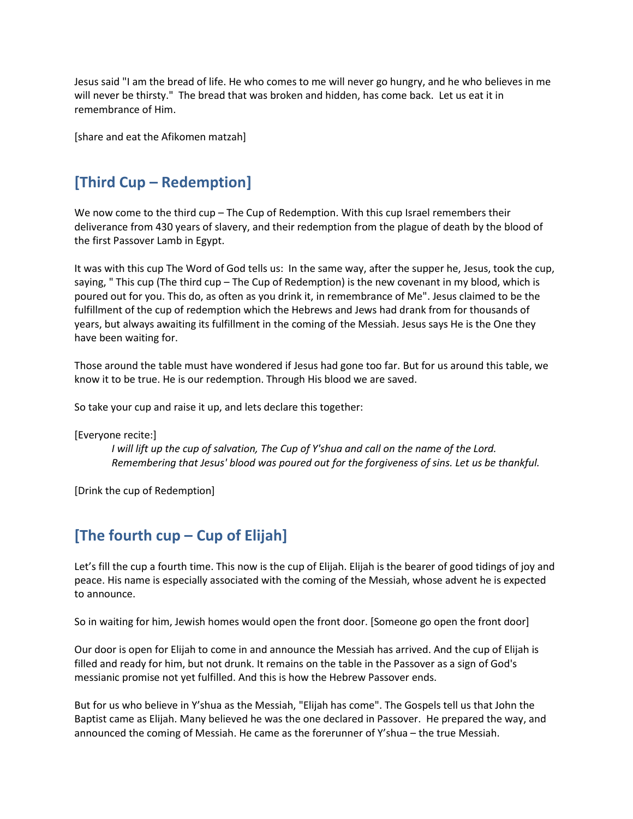Jesus said "I am the bread of life. He who comes to me will never go hungry, and he who believes in me will never be thirsty." The bread that was broken and hidden, has come back. Let us eat it in remembrance of Him.

[share and eat the Afikomen matzah]

## **[Third Cup – Redemption]**

We now come to the third cup – The Cup of Redemption. With this cup Israel remembers their deliverance from 430 years of slavery, and their redemption from the plague of death by the blood of the first Passover Lamb in Egypt.

It was with this cup The Word of God tells us: In the same way, after the supper he, Jesus, took the cup, saying, " This cup (The third cup – The Cup of Redemption) is the new covenant in my blood, which is poured out for you. This do, as often as you drink it, in remembrance of Me". Jesus claimed to be the fulfillment of the cup of redemption which the Hebrews and Jews had drank from for thousands of years, but always awaiting its fulfillment in the coming of the Messiah. Jesus says He is the One they have been waiting for.

Those around the table must have wondered if Jesus had gone too far. But for us around this table, we know it to be true. He is our redemption. Through His blood we are saved.

So take your cup and raise it up, and lets declare this together:

[Everyone recite:]

*I will lift up the cup of salvation, The Cup of Y'shua and call on the name of the Lord. Remembering that Jesus' blood was poured out for the forgiveness of sins. Let us be thankful.*

[Drink the cup of Redemption]

### **[The fourth cup – Cup of Elijah]**

Let's fill the cup a fourth time. This now is the cup of Elijah. Elijah is the bearer of good tidings of joy and peace. His name is especially associated with the coming of the Messiah, whose advent he is expected to announce.

So in waiting for him, Jewish homes would open the front door. [Someone go open the front door]

Our door is open for Elijah to come in and announce the Messiah has arrived. And the cup of Elijah is filled and ready for him, but not drunk. It remains on the table in the Passover as a sign of God's messianic promise not yet fulfilled. And this is how the Hebrew Passover ends.

But for us who believe in Y'shua as the Messiah, "Elijah has come". The Gospels tell us that John the Baptist came as Elijah. Many believed he was the one declared in Passover. He prepared the way, and announced the coming of Messiah. He came as the forerunner of Y'shua – the true Messiah.